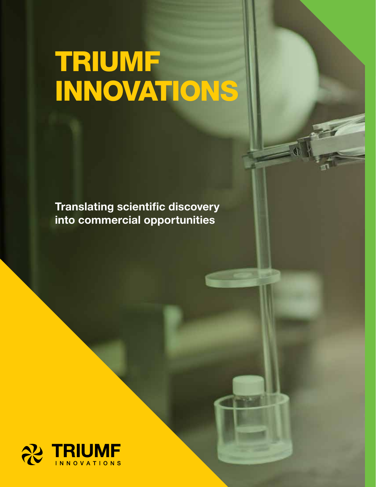# TRIUMF INNOVATIONS

Translating scientific discovery into commercial opportunities

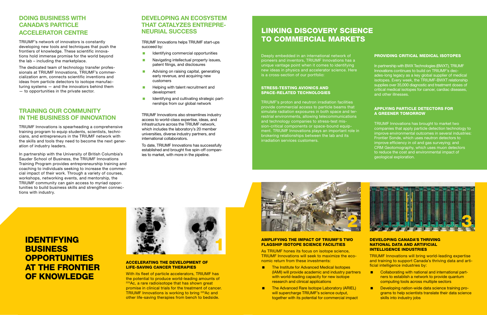# IDENTIFYING **BUSINESS** OPPORTUNITIES AT THE FRONTIER OF KNOWLEDGE

### ACCELERATING THE DEVELOPMENT OF LIFE-SAVING CANCER THERAPIES

With its fleet of particle accelerators, TRIUMF has the potential to produce world-leading amounts of <sup>225</sup>Ac, a rare radioisotope that has shown great promise in clinical trials for the treatment of cancer. TRIUMF Innovations is working to bring <sup>225</sup>Ac and other life-saving therapies from bench to bedside.



### AMPLIFYING THE IMPACT OF TRIUMF'S TWO FLAGSHIP ISOTOPE SCIENCE FACILITIES

- The Institute for Advanced Medical Isotopes (IAMI) will provide academic and industry partners with world-leading capacity for new isotope research and clinical applications
- The Advanced Rare Isotope Laboratory (ARIEL) will supercharge TRIUMF's science output, together with its potential for commercial impact



As TRIUMF hones its focus on isotope science, TRIUMF Innovations will seek to maximize the economic return from these investments:

- Collaborating with national and international partners to establish a network to provide quantum computing tools across multiple sectors
- **Developing nation-wide data science training pro**grams to help scientists translate their data science skills into industry jobs

### DEVELOPING CANADA'S THRIVING NATIONAL DATA AND ARTIFICIAL INTELLIGENCE INDUSTRIES

TRIUMF Innovations will bring world-leading expertise and training to support Canada's thriving data and artificial intelligence industries by:

## DOING BUSINESS WITH CANADA'S PARTICLE ACCELERATOR CENTRE

TRIUMF's network of innovators is constantly developing new tools and techniques that push the frontiers of knowledge. These scientific innovations hold immense promise for the world beyond the lab – including the marketplace.

The dedicated team of technology transfer professionals at TRIUMF Innovations, TRIUMF's commercialization arm, connects scientific inventions and ideas from particle detectors to isotope manufacturing systems — and the innovators behind them — to opportunities in the private sector.

- **In all dentifying commercial opportunities**
- **Navigating intellectual property issues,** patent filings, and disclosures
- **Advising on raising capital, generating** early revenue, and acquiring new customers
- **Helping with talent recruitment and** development
- In Identifying and cultivating strategic partnerships from our global network

### TRAINING OUR COMMUNITY IN THE BUSINESS OF INNOVATION

TRIUMF Innovations is spearheading a comprehensive training program to equip students, scientists, technicians, and entrepreneurs in the TRIUMF network with the skills and tools they need to become the next generation of industry leaders.

In partnership with the University of British Columbia's Sauder School of Business, the TRIUMF Innovations Training Program provides entrepreneurship training and coaching to individuals seeking to increase the commercial impact of their work. Through a variety of courses, workshops, networking events, and mentorship, the TRIUMF community can gain access to myriad opportunities to build business skills and strengthen connections with industry.





### DEVELOPING AN ECOSYSTEM THAT CATALYZES ENTREPRE-NEURIAL SUCCESS

Deeply embedded in an international network of pioneers and inventors, TRIUMF Innovations has a unique vantage point when it comes to identifying new ideas in physics and accelerator science. Here is a cross-section of our portfolio:

### STRESS-TESTING AVIONICS AND SPACE-RELATED TECHNOLOGIES

TRIUMF's proton and neutron irradiation facilities provide commercial access to particle beams that simulate radiation exposures in both space and terrestrial environments, allowing telecommunications and technology companies to stress-test mission-critical components or space-bound equipment. TRIUMF Innovations plays an important role in brokering relationships between the lab and its irradiation services customers.

TRIUMF Innovations helps TRIUMF start-ups succeed by:

TRIUMF Innovations also streamlines industry access to world-class expertise, ideas, and infrastructure across the TRIUMF network, which includes the laboratory's 20 member universities, diverse industry partners, and international collaborators.

To date, TRIUMF Innovations has successfully established and brought five spin-off companies to market, with more in the pipeline.

#### PROVIDING CRITICAL MEDICAL ISOTOPES

In partnership with BWX Technologies (BWXT), TRIUMF Innovations continues to build on TRIUMF's decades-long legacy as a key global supplier of medical isotopes. Every week, the TRIUMF-BWXT relationship supplies over 35,000 diagnostic and treatment doses of critical medical isotopes for cancer, cardiac diseases, and other illnesses.

### APPLYING PARTICLE DETECTORS FOR A GREENER TOMORROW

TRIUMF Innovations has brought to market two companies that apply particle detection technology to improve environmental outcomes in several industries: Frontier Sonde, which uses neutron detectors to improve efficiency in oil and gas surveying; and CRM Geotomography, which uses muon detectors to reduce the cost and environmental impact of geological exploration.

# LINKING DISCOVERY SCIENCE TO COMMERCIAL MARKETS